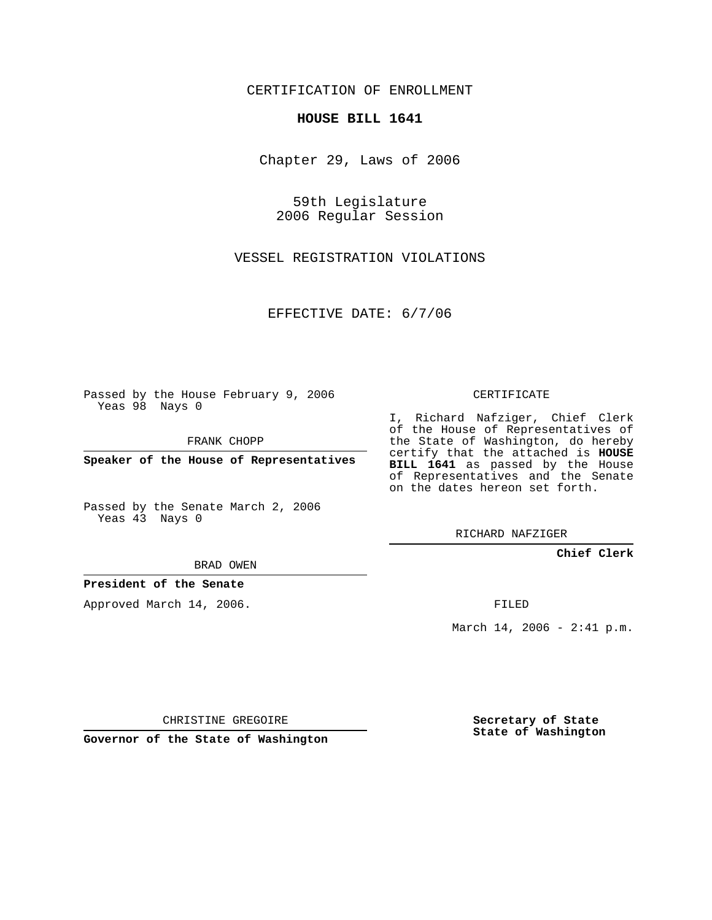CERTIFICATION OF ENROLLMENT

## **HOUSE BILL 1641**

Chapter 29, Laws of 2006

59th Legislature 2006 Regular Session

VESSEL REGISTRATION VIOLATIONS

EFFECTIVE DATE: 6/7/06

Passed by the House February 9, 2006 Yeas 98 Nays 0

FRANK CHOPP

**Speaker of the House of Representatives**

Passed by the Senate March 2, 2006 Yeas 43 Nays 0

I, Richard Nafziger, Chief Clerk of the House of Representatives of the State of Washington, do hereby certify that the attached is **HOUSE BILL 1641** as passed by the House of Representatives and the Senate on the dates hereon set forth.

RICHARD NAFZIGER

**Chief Clerk**

BRAD OWEN

**President of the Senate**

Approved March 14, 2006.

FILED

March 14, 2006 - 2:41 p.m.

CHRISTINE GREGOIRE

**Governor of the State of Washington**

**Secretary of State State of Washington**

## CERTIFICATE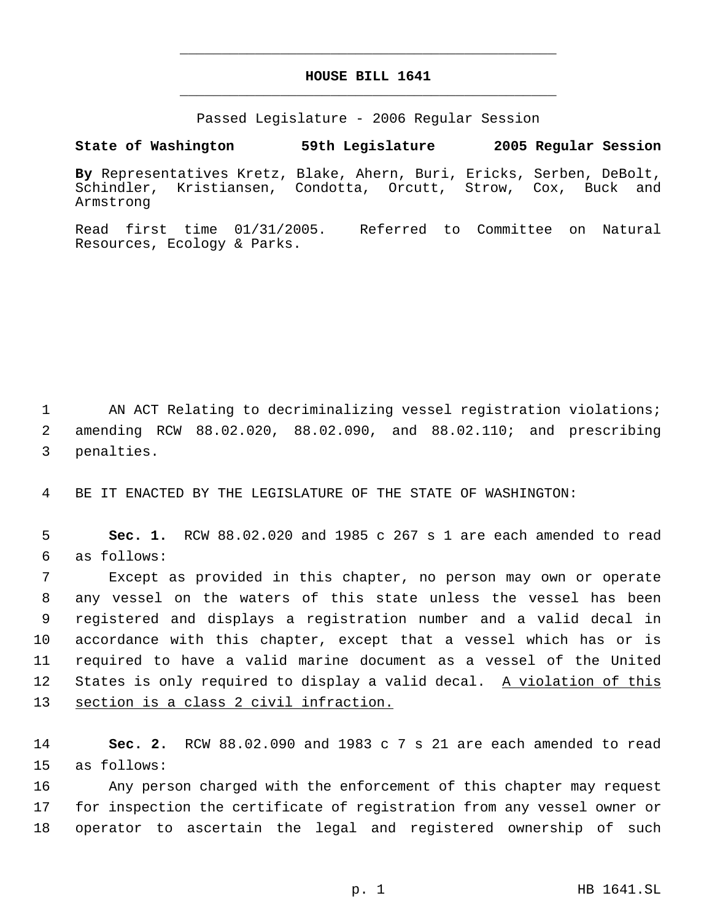## **HOUSE BILL 1641** \_\_\_\_\_\_\_\_\_\_\_\_\_\_\_\_\_\_\_\_\_\_\_\_\_\_\_\_\_\_\_\_\_\_\_\_\_\_\_\_\_\_\_\_\_

\_\_\_\_\_\_\_\_\_\_\_\_\_\_\_\_\_\_\_\_\_\_\_\_\_\_\_\_\_\_\_\_\_\_\_\_\_\_\_\_\_\_\_\_\_

Passed Legislature - 2006 Regular Session

**State of Washington 59th Legislature 2005 Regular Session**

**By** Representatives Kretz, Blake, Ahern, Buri, Ericks, Serben, DeBolt, Kristiansen, Condotta, Orcutt, Strow, Cox, Buck and Armstrong

Read first time 01/31/2005. Referred to Committee on Natural Resources, Ecology & Parks.

1 AN ACT Relating to decriminalizing vessel registration violations; 2 amending RCW 88.02.020, 88.02.090, and 88.02.110; and prescribing 3 penalties.

4 BE IT ENACTED BY THE LEGISLATURE OF THE STATE OF WASHINGTON:

 5 **Sec. 1.** RCW 88.02.020 and 1985 c 267 s 1 are each amended to read 6 as follows:

 Except as provided in this chapter, no person may own or operate any vessel on the waters of this state unless the vessel has been registered and displays a registration number and a valid decal in accordance with this chapter, except that a vessel which has or is required to have a valid marine document as a vessel of the United 12 States is only required to display a valid decal. A violation of this 13 section is a class 2 civil infraction.

14 **Sec. 2.** RCW 88.02.090 and 1983 c 7 s 21 are each amended to read 15 as follows:

16 Any person charged with the enforcement of this chapter may request 17 for inspection the certificate of registration from any vessel owner or 18 operator to ascertain the legal and registered ownership of such